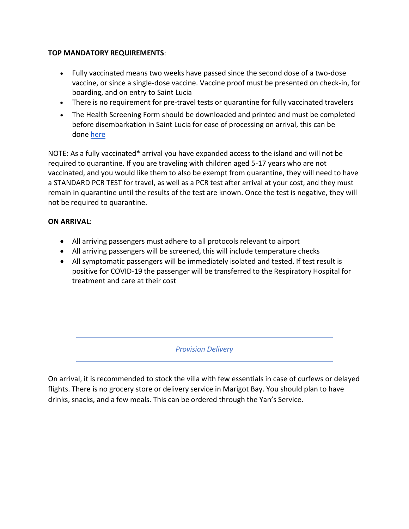## **TOP MANDATORY REQUIREMENTS**:

- Fully vaccinated means two weeks have passed since the second dose of a two-dose vaccine, or since a single-dose vaccine. Vaccine proof must be presented on check-in, for boarding, and on entry to Saint Lucia
- There is no requirement for pre-travel tests or quarantine for fully vaccinated travelers
- The Health Screening Form should be downloaded and printed and must be completed before disembarkation in Saint Lucia for ease of processing on arrival, this can be done [here](https://34a1ju2gva4u3yrm051vedfb-wpengine.netdna-ssl.com/wp-content/uploads/2022/03/SCREENING_QUESTIONNAIRE_Mar_2022.pdf)

NOTE: As a fully vaccinated\* arrival you have expanded access to the island and will not be required to quarantine. If you are traveling with children aged 5-17 years who are not vaccinated, and you would like them to also be exempt from quarantine, they will need to have a STANDARD PCR TEST for travel, as well as a PCR test after arrival at your cost, and they must remain in quarantine until the results of the test are known. Once the test is negative, they will not be required to quarantine.

# **ON ARRIVAL**:

- All arriving passengers must adhere to all protocols relevant to airport
- All arriving passengers will be screened, this will include temperature checks
- All symptomatic passengers will be immediately isolated and tested. If test result is positive for COVID-19 the passenger will be transferred to the Respiratory Hospital for treatment and care at their cost

*Provision Delivery*

On arrival, it is recommended to stock the villa with few essentials in case of curfews or delayed flights. There is no grocery store or delivery service in Marigot Bay. You should plan to have drinks, snacks, and a few meals. This can be ordered through the Yan's Service.